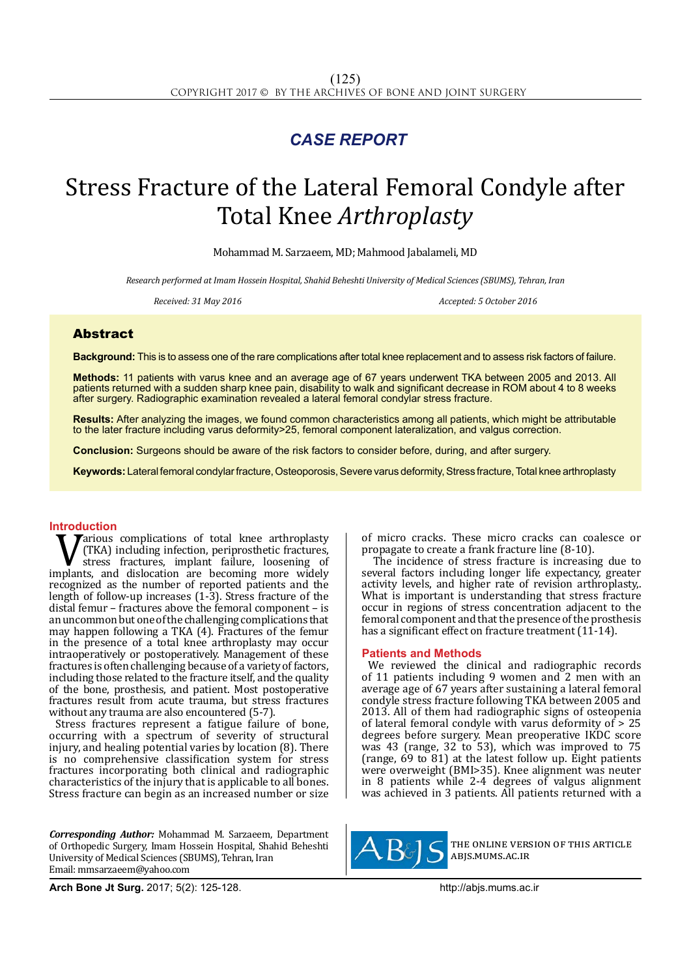## *CASE REPORT*

# Stress Fracture of the Lateral Femoral Condyle after Total Knee *Arthroplasty*

Mohammad M. Sarzaeem, MD; Mahmood Jabalameli, MD

*Research performed at Imam Hossein Hospital, Shahid Beheshti University of Medical Sciences (SBUMS), Tehran, Iran*

Received: 31 May 2016 **Accepted: 5 October 2016** Accepted: 5 October 2016

### Abstract

**Background:** This is to assess one of the rare complications after total knee replacement and to assess risk factors of failure.

**Methods:** 11 patients with varus knee and an average age of 67 years underwent TKA between 2005 and 2013. All patients returned with a sudden sharp knee pain, disability to walk and significant decrease in ROM about 4 to 8 weeks after surgery. Radiographic examination revealed a lateral femoral condylar stress fracture.

**Results:** After analyzing the images, we found common characteristics among all patients, which might be attributable to the later fracture including varus deformity>25, femoral component lateralization, and valgus correction.

**Conclusion:** Surgeons should be aware of the risk factors to consider before, during, and after surgery.

**Keywords:** Lateral femoral condylar fracture, Osteoporosis, Severe varus deformity, Stress fracture, Total knee arthroplasty

**Introduction**<br> **T** *T*arious complications of total knee arthroplasty **V** (TKA) including infection, periprosthetic fractures, stress fractures, implant failure, loosening of implants, and dislocation are becoming more widely recognized as the number of reported patients and the (TKA) including infection, periprosthetic fractures, stress fractures, implant failure, loosening of recognized as the number of reported patients and the length of follow-up increases (1-3). Stress fracture of the distal femur – fractures above the femoral component – is an uncommon but one of the challenging complications that may happen following a TKA (4). Fractures of the femur in the presence of a total knee arthroplasty may occur intraoperatively or postoperatively. Management of these fractures is often challenging because of a variety of factors, including those related to the fracture itself, and the quality of the bone, prosthesis, and patient. Most postoperative fractures result from acute trauma, but stress fractures without any trauma are also encountered (5-7).

Stress fractures represent a fatigue failure of bone, occurring with a spectrum of severity of structural injury, and healing potential varies by location (8). There is no comprehensive classification system for stress fractures incorporating both clinical and radiographic characteristics of the injury that is applicable to all bones. Stress fracture can begin as an increased number or size

*Corresponding Author:* Mohammad M. Sarzaeem, Department of Orthopedic Surgery, Imam Hossein Hospital, Shahid Beheshti University of Medical Sciences (SBUMS), Tehran, Iran Email: mmsarzaeem@yahoo.com

of micro cracks. These micro cracks can coalesce or propagate to create a frank fracture line (8-10).

 The incidence of stress fracture is increasing due to several factors including longer life expectancy, greater activity levels, and higher rate of revision arthroplasty,. What is important is understanding that stress fracture occur in regions of stress concentration adjacent to the femoral component and that the presence of the prosthesis has a significant effect on fracture treatment (11-14).

#### **Patients and Methods**

We reviewed the clinical and radiographic records of 11 patients including 9 women and 2 men with an average age of 67 years after sustaining a lateral femoral condyle stress fracture following TKA between 2005 and 2013. All of them had radiographic signs of osteopenia of lateral femoral condyle with varus deformity of > 25 degrees before surgery. Mean preoperative IKDC score was 43 (range, 32 to 53), which was improved to 75 (range,  $69 \text{ to } 81$ ) at the latest follow up. Eight patients were overweight (BMI>35). Knee alignment was neuter in 8 patients while 2-4 degrees of valgus alignment was achieved in 3 patients. All patients returned with a



the online version of this article abjs.mums.ac.ir

**Arch Bone Jt Surg.** 2017; 5(2): 125-128.http://abjs.mums.ac.ir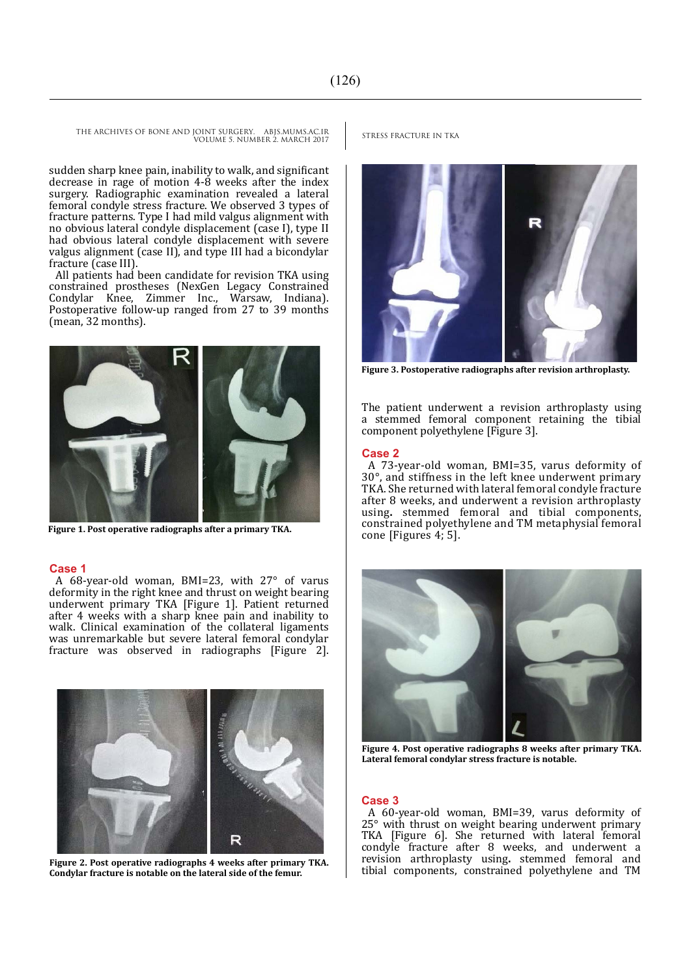THE ARCHIVES OF BONE AND JOINT SURGERY. ABJS.MUMS.AC.IR STRESS FRACTURE IN TKA VOLUME 5. NUMBER 2. MARCH 2017

sudden sharp knee pain, inability to walk, and significant decrease in rage of motion 4-8 weeks after the index surgery. Radiographic examination revealed a lateral femoral condyle stress fracture. We observed 3 types of fracture patterns. Type I had mild valgus alignment with no obvious lateral condyle displacement (case I), type II had obvious lateral condyle displacement with severe valgus alignment (case II), and type III had a bicondylar fracture (case III).

All patients had been candidate for revision TKA using constrained prostheses (NexGen Legacy Constrained Condylar Knee, Zimmer Inc., Warsaw, Indiana). Postoperative follow-up ranged from 27 to 39 months (mean, 32 months).



**Figure 1. Post operative radiographs after a primary TKA.**

#### **Case 1**

A 68-year-old woman, BMI=23, with 27° of varus deformity in the right knee and thrust on weight bearing underwent primary TKA [Figure 1]. Patient returned after 4 weeks with a sharp knee pain and inability to walk. Clinical examination of the collateral ligaments was unremarkable but severe lateral femoral condylar fracture was observed in radiographs [Figure 2].



**Figure 2. Post operative radiographs 4 weeks after primary TKA. Condylar fracture is notable on the lateral side of the femur.**



**Figure 3. Postoperative radiographs after revision arthroplasty.**

The patient underwent a revision arthroplasty using a stemmed femoral component retaining the tibial component polyethylene [Figure 3].

#### **Case 2**

A 73-year-old woman, BMI=35, varus deformity of 30°, and stiffness in the left knee underwent primary TKA. She returned with lateral femoral condyle fracture after 8 weeks, and underwent a revision arthroplasty using**.** stemmed femoral and tibial components, constrained polyethylene and TM metaphysial femoral cone [Figures 4; 5].



**Figure 4. Post operative radiographs 8 weeks after primary TKA. Lateral femoral condylar stress fracture is notable.**

#### **Case 3**

A 60-year-old woman, BMI=39, varus deformity of 25° with thrust on weight bearing underwent primary TKA [Figure 6]. She returned with lateral femoral condyle fracture after 8 weeks, and underwent a revision arthroplasty using**.** stemmed femoral and tibial components, constrained polyethylene and TM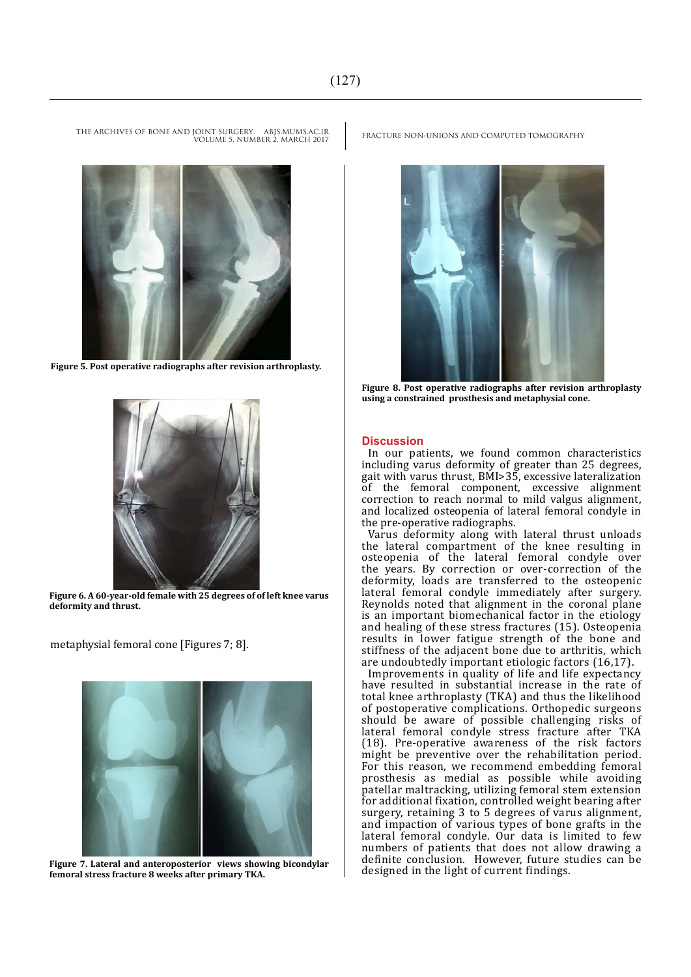THE ARCHIVES OF BONE AND JOINT SURGERY. ABJS.MUMS.AC.IR

VOLUME 5. NUMBER 2. MARCH 2017

**Figure 5. Post operative radiographs after revision arthroplasty.**



**Figure 6. A 60-year-old female with 25 degrees of of left knee varus deformity and thrust.**

metaphysial femoral cone [Figures 7; 8].



**Figure 7. Lateral and anteroposterior views showing bicondylar femoral stress fracture 8 weeks after primary TKA.**

FRACTURE NON-UNIONS AND COMPUTED TOMOGRAPHY



**Figure 8. Post operative radiographs after revision arthroplasty using a constrained prosthesis and metaphysial cone.**

#### **Discussion**

In our patients, we found common characteristics including varus deformity of greater than 25 degrees, gait with varus thrust, BMI>35, excessive lateralization of the femoral component, excessive alignment correction to reach normal to mild valgus alignment, and localized osteopenia of lateral femoral condyle in the pre-operative radiographs.

Varus deformity along with lateral thrust unloads the lateral compartment of the knee resulting in osteopenia of the lateral femoral condyle over the years. By correction or over-correction of the deformity, loads are transferred to the osteopenic lateral femoral condyle immediately after surgery. Reynolds noted that alignment in the coronal plane is an important biomechanical factor in the etiology and healing of these stress fractures (15). Osteopenia results in lower fatigue strength of the bone and stiffness of the adjacent bone due to arthritis, which are undoubtedly important etiologic factors (16,17).

Improvements in quality of life and life expectancy have resulted in substantial increase in the rate of total knee arthroplasty (TKA) and thus the likelihood of postoperative complications. Orthopedic surgeons should be aware of possible challenging risks of lateral femoral condyle stress fracture after TKA (18). Pre-operative awareness of the risk factors might be preventive over the rehabilitation period. For this reason, we recommend embedding femoral prosthesis as medial as possible while avoiding patellar maltracking, utilizing femoral stem extension for additional fixation, controlled weight bearing after surgery, retaining 3 to 5 degrees of varus alignment, and impaction of various types of bone grafts in the lateral femoral condyle. Our data is limited to few numbers of patients that does not allow drawing a definite conclusion. However, future studies can be designed in the light of current findings.